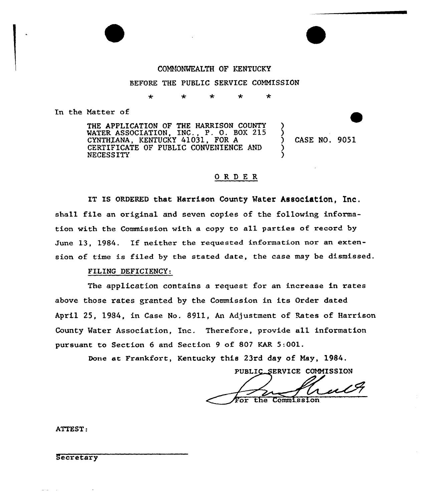# COMMONWEALTH OF KENTUCKY

## BEFORE THE PUBLIC SERVICE COMMISSION

#### $\ddot{\phantom{0}}$  $\star$ مه

In the Matter of

THE APPLICATION OF THE HARRISON COUNTY WATER ASSOCIATION, INC., P. 0. BOX 215 CYNTHZANA, KENTUCKY 41031, FOR <sup>A</sup> CERTIFICATE OF PUBLIC CONVENIENCE AND NECESSITY

) CASE NO. 9051

) )

) )

# ORDER

IT IS ORDERED that Harrison County Water Association. Inc. shall file an original and seven copies of the following information with the Commission with a copy to all parties of record by June 13, 1984. If neither the requested information nor an extension of time is filed by the stated date, the case may be dismissed.

## FILING DEFICIENCY:

The application contains a request for an increase in rates above those rates gxanted by the Commission in its Order dated April 25, 1984, in Case No. 8911, An Adjustment of Rates of Harrison County Water Association, Inc. Therefore, provide all information pursuant to Section <sup>6</sup> and Section <sup>9</sup> of 807 KAR 5:001.

Done at Frankfort, Kentucky this 23rd day of May, 1984.

PUBLIC\_SERVICE COMMISSION

ul For the Commission

ATTEST:

Secretary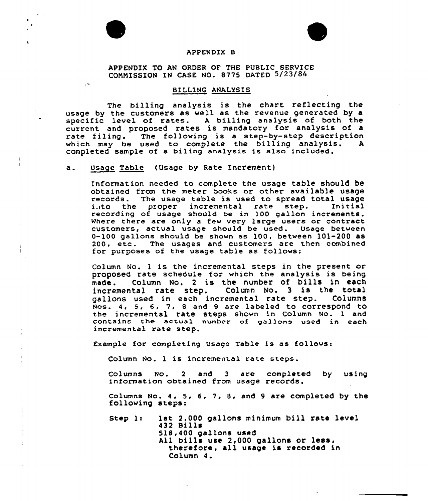

#### APPENDIX B

APPENDIX TO AN ORDER OF THE PUBLIC SERVICE COMMISSION IN CASE NO. 8775 DATED 5/23/84

### BILLING ANALYSIS

The billing analysis is the chart reflecting the usage by the customers as well as the revenue generated by a specific level of rates. A billing analysis of both the current and proposed rates is mandatory for analysis of a rate filing. The following is <sup>a</sup> step-by-step description which may be used to complete the billing analysis. A completed sample of a biling analysis is also included.

Usage Table {Usage by Rate Increment) a.

 $\bullet$ 

 $\mathbb{R}^2$ 

Information needed to complete the usage table should be<br>obtained from the meter books or other available usage obtained from the meter books or other available usage<br>records. The usage table is used to spread total usage<br>i.ito the proper incremental rate step. Initial recording of usage should be in 100 gallon increments Where there are only a few very large users or contract customers, actual usage should be used. Usage between  $0-100$  gallons should be shown as  $100$ , between  $101-200$  as 200, etc. The usages and customers are then combined for purposes of the usage table as follows:

Column No. <sup>1</sup> is the incremental steps in the present or proposed rate schedule for which the analysis is being made. Column No. 2 is the number of bills in each<br>incremental rate step. Column No. 3 is the total incremental rate step. Column No. <sup>3</sup> is the total gallons used in each incremental rate step. Nos. 4, 5, 6, 7, <sup>8</sup> and 9 are labeled to correspond to the incremental rate steps shown in Column No. 1 and contains the actual number of gallons used in each incremental rate step.

Example for completing Usage Table is as followss

Column No. <sup>1</sup> is incremental rate steps.

Columns No. <sup>2</sup> and 3 are completed by using information obtained from usage records.

Columns No. 4, 5. 6, 7, 8, and 9 are completed by the following steps:

Step 1: 1st 2,000 gallons minimum bill rate level 432 Bills 518, 400 gallons used All bills use 2,000 gallons or less, therefore, all usage is recorded in Column 4.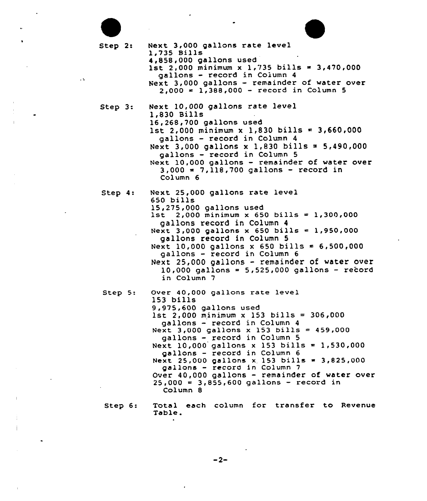| Step 2:<br>$\sim 10$ | Next 3,000 gallons rate level<br>1,735 Bills<br>4,858,000 gallons used<br>1st 2,000 minimum x 1,735 bills = 3,470,000<br>gallons - record in Column 4<br>Next 3,000 gallons - remainder of water over<br>$2,000 = 1,388,000 - record in Column 5$                                                                                                                                                                                                                                                       |
|----------------------|---------------------------------------------------------------------------------------------------------------------------------------------------------------------------------------------------------------------------------------------------------------------------------------------------------------------------------------------------------------------------------------------------------------------------------------------------------------------------------------------------------|
| Step 3:              | Next 10,000 gallons rate level<br>1,830 Bills<br>16,268,700 gallons used<br>$1st$ 2,000 minimum x 1,830 bills = 3,660,000<br>gallons - record in Column 4<br>Next 3,000 gallons x 1,830 bills = 5,490,000<br>gallons - record in Column 5<br>Next 10,000 gallons - remainder of water over<br>$3,000 = 7,118,700$ gallons - record in<br>Column <sub>6</sub>                                                                                                                                            |
| Step 4:              | Next 25,000 gallons rate level<br>650 bills<br>15,275,000 gallons used<br>1st 2,000 minimum x 650 bills = 1,300,000<br>gallons record in Column 4<br>Next 3,000 gallons x 650 bills = 1,950,000<br>gallons record in Column 5<br>Next 10,000 gallons x 650 bills = 6,500,000<br>gallons - record in Column 6<br>Next 25,000 gallons - remainder of water over<br>10,000 gallons = $5,525,000$ gallons - record<br>in Column 7                                                                           |
| Step 5:              | Over 40,000 gallons rate level<br>$153$ bills<br>9,975,600 gallons used<br>$1st$ 2,000 minimum x 153 bills = 306,000<br>gallons - record in Column 4<br>Next 3,000 gallons x 153 bills = 459,000<br>gallons - record in Column 5<br>Next 10,000 gallons x 153 bills = 1,530,000<br>gallons - record in Column 6<br>Next 25,000 gallons x 153 bills = 3,825,000<br>gallons - record in Column 7<br>Over 40,000 gallons - remainder of water over<br>$25,000 = 3,855,600$ gallons - record in<br>Column 8 |
| Step 6:              | Total each column for transfer to Revenue<br>Table.                                                                                                                                                                                                                                                                                                                                                                                                                                                     |

 $\sim 100$ 

 $\mathcal{L}_{\text{max}}$ 

 $\frac{1}{2}$ 

 $\mathbf{v}^{(1)}$ 

 $\frac{1}{2}$ 

 $\pm$ 

 $\sim$   $^{-1}$ 

 $\hat{\mathcal{L}}$ 

 $\mathcal{L}^{\text{max}}_{\text{max}}$  and  $\mathcal{L}^{\text{max}}_{\text{max}}$ 

 $\sim 10^{-10}$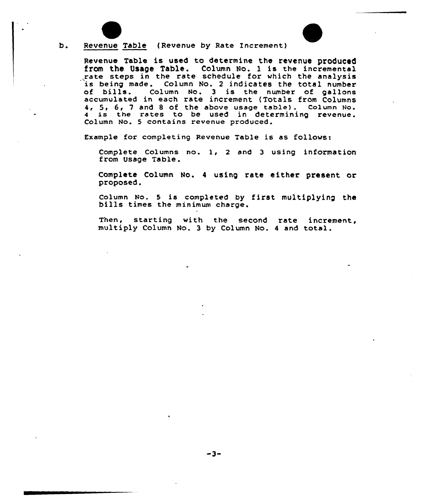

b. Revenue Table (Revenue by Rate increment)

Revenue Table is used to determine the revenue produced from the Usage Table. Column No. 1 is the incremental rate steps in the rate schedule for which the analysis<br>is being made. Column No. 2 indicates the total number<br>of bills. Column No. 3 is the number of gallons Column No. 3 is the number of gallons accumulated in each rate increment (Totals from Columns 4, 5, 6, 7 and 8 of the above usage table). Column No.<br>4 is the rates to be used in determining revenue. Column No. 5 contains revenue produced.

Example for completing Revenue Table is as follows:

Complete Columns no. 1, <sup>2</sup> and <sup>3</sup> using information from usage Table.

Complete Column No. <sup>4</sup> using rate either present or proposed.

Column No. <sup>5</sup> is completed by first multiplying the bills times the minimum charge.

Then, starting with the second rate increment, multiply Column No. <sup>3</sup> by Column No. <sup>4</sup> and total.